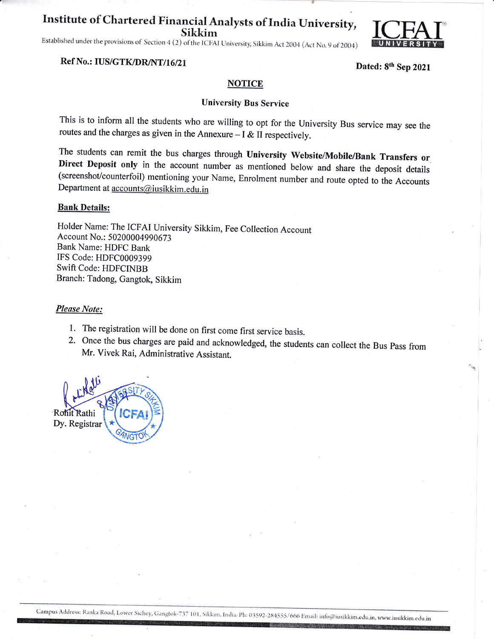# Institute of Chartered Financial Analysts of India University, **Sikkim**

Established under the provisions of Section 4 (2) of the ICFAI University, Sikkim Act 2004 (Act No. 9 of 2004)



#### Ref No.: IUS/GTK/DR/NT/16/21

Dated: 8th Sep 2021

#### **NOTICE**

#### **University Bus Service**

This is to inform all the students who are willing to opt for the University Bus service may see the routes and the charges as given in the Annexure  $-1 < II$  respectively.

The students can remit the bus charges through University Website/Mobile/Bank Transfers or Direct Deposit only in the account number as mentioned below and share the deposit details (screenshot/counterfoil) mentioning your Name, Enrolment number and route opted to the Accounts Department at accounts@iusikkim.edu.in

#### **Bank Details:**

Holder Name: The ICFAI University Sikkim, Fee Collection Account Account No.: 50200004990673 **Bank Name: HDFC Bank** IFS Code: HDFC0009399 Swift Code: HDFCINBB Branch: Tadong, Gangtok, Sikkim

#### **Please Note:**

- 1. The registration will be done on first come first service basis.
- 2. Once the bus charges are paid and acknowledged, the students can collect the Bus Pass from Mr. Vivek Rai, Administrative Assistant.

Rohit Rathi Dy. Registrar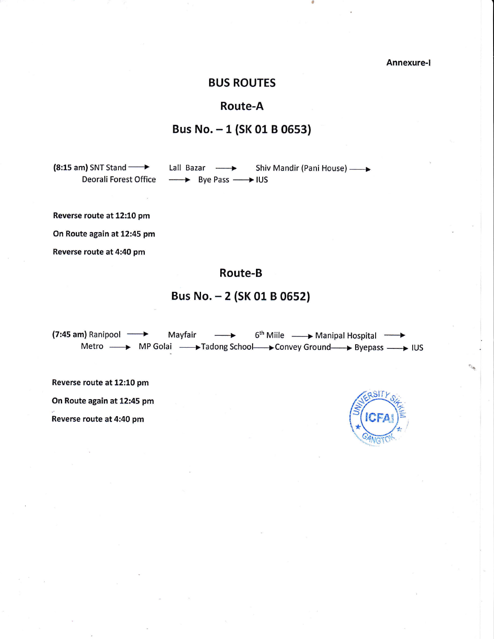Annexure-l

### BUS ROUTES

### Route-A

## Bus No. - <sup>1</sup>(SK 01 B 05s3)

 $(8:15$  am) SNT Stand  $\longrightarrow$ Deorali Forest Office

Lall Bazar -> Shiv Mandir (Pani House) --------+ Bye Pass ------+ IUS

a

Reverse route at 12:10 pm

On Route again at 12:45 pm

Reverse route at 4:40 pm

# Route-B

## Bus No. - 2 (SK 01 B 0652)

 $(7:45 \text{ am})$  Ranipool  $\longrightarrow$  Mayfair  $\longrightarrow$ Metro - MP Golai - Tadong School - Convey Ground-> Byepass - IUS 6<sup>th</sup> Miile — → Manipal Hospital

Reverse route at 12:10 pm

On Route again at 12:45 pm

Reverse route at 4:40 pm